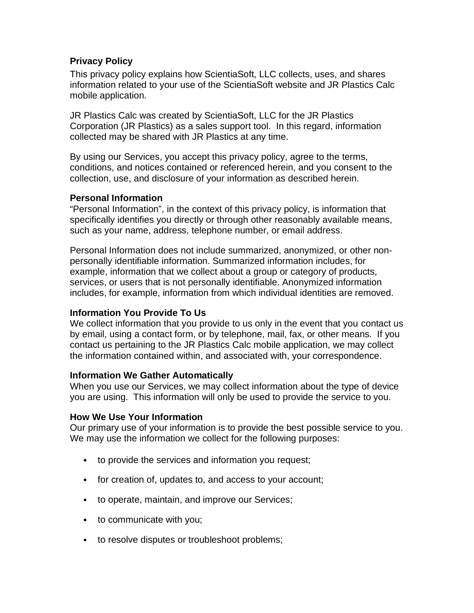## **Privacy Policy**

This privacy policy explains how ScientiaSoft, LLC collects, uses, and shares information related to your use of the ScientiaSoft website and JR Plastics Calc mobile application.

JR Plastics Calc was created by ScientiaSoft, LLC for the JR Plastics Corporation (JR Plastics) as a sales support tool. In this regard, information collected may be shared with JR Plastics at any time.

By using our Services, you accept this privacy policy, agree to the terms, conditions, and notices contained or referenced herein, and you consent to the collection, use, and disclosure of your information as described herein.

# **Personal Information**

"Personal Information", in the context of this privacy policy, is information that specifically identifies you directly or through other reasonably available means, such as your name, address, telephone number, or email address.

Personal Information does not include summarized, anonymized, or other nonpersonally identifiable information. Summarized information includes, for example, information that we collect about a group or category of products, services, or users that is not personally identifiable. Anonymized information includes, for example, information from which individual identities are removed.

## **Information You Provide To Us**

We collect information that you provide to us only in the event that you contact us by email, using a contact form, or by telephone, mail, fax, or other means. If you contact us pertaining to the JR Plastics Calc mobile application, we may collect the information contained within, and associated with, your correspondence.

## **Information We Gather Automatically**

When you use our Services, we may collect information about the type of device you are using. This information will only be used to provide the service to you.

## **How We Use Your Information**

Our primary use of your information is to provide the best possible service to you. We may use the information we collect for the following purposes:

- to provide the services and information you request;
- for creation of, updates to, and access to your account;
- to operate, maintain, and improve our Services;
- to communicate with you;
- to resolve disputes or troubleshoot problems;